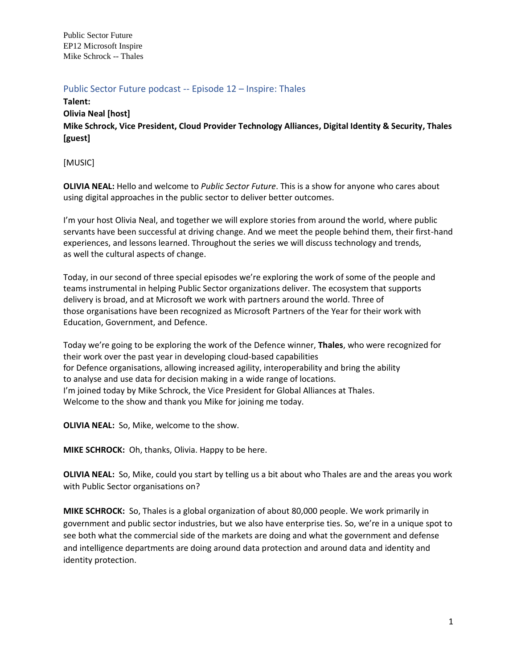Public Sector Future EP12 Microsoft Inspire Mike Schrock -- Thales

## Public Sector Future podcast -- Episode 12 – Inspire: Thales

**Talent: Olivia Neal [host] Mike Schrock, Vice President, Cloud Provider Technology Alliances, Digital Identity & Security, Thales [guest]**

[MUSIC]

**OLIVIA NEAL:** Hello and welcome to *Public Sector Future*. This is a show for anyone who cares about using digital approaches in the public sector to deliver better outcomes.  

I'm your host Olivia Neal, and together we will explore stories from around the world, where public servants have been successful at driving change. And we meet the people behind them, their first-hand experiences, and lessons learned. Throughout the series we will discuss technology and trends, as well the cultural aspects of change.  

Today, in our second of three special episodes we're exploring the work of some of the people and teams instrumental in helping Public Sector organizations deliver. The ecosystem that supports delivery is broad, and at Microsoft we work with partners around the world. Three of those organisations have been recognized as Microsoft Partners of the Year for their work with Education, Government, and Defence.

Today we're going to be exploring the work of the Defence winner, **Thales**, who were recognized for their work over the past year in developing cloud-based capabilities for Defence organisations, allowing increased agility, interoperability and bring the ability to analyse and use data for decision making in a wide range of locations. I'm joined today by Mike Schrock, the Vice President for Global Alliances at Thales. Welcome to the show and thank you Mike for joining me today.

**OLIVIA NEAL:** So, Mike, welcome to the show.

**MIKE SCHROCK:** Oh, thanks, Olivia. Happy to be here.

**OLIVIA NEAL:** So, Mike, could you start by telling us a bit about who Thales are and the areas you work with Public Sector organisations on?

**MIKE SCHROCK:** So, Thales is a global organization of about 80,000 people. We work primarily in government and public sector industries, but we also have enterprise ties. So, we're in a unique spot to see both what the commercial side of the markets are doing and what the government and defense and intelligence departments are doing around data protection and around data and identity and identity protection.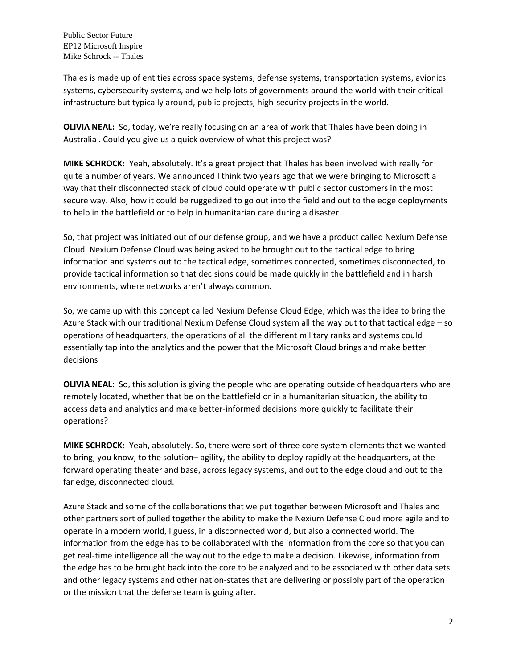Thales is made up of entities across space systems, defense systems, transportation systems, avionics systems, cybersecurity systems, and we help lots of governments around the world with their critical infrastructure but typically around, public projects, high-security projects in the world.

**OLIVIA NEAL:** So, today, we're really focusing on an area of work that Thales have been doing in Australia . Could you give us a quick overview of what this project was?

**MIKE SCHROCK:** Yeah, absolutely. It's a great project that Thales has been involved with really for quite a number of years. We announced I think two years ago that we were bringing to Microsoft a way that their disconnected stack of cloud could operate with public sector customers in the most secure way. Also, how it could be ruggedized to go out into the field and out to the edge deployments to help in the battlefield or to help in humanitarian care during a disaster.

So, that project was initiated out of our defense group, and we have a product called Nexium Defense Cloud. Nexium Defense Cloud was being asked to be brought out to the tactical edge to bring information and systems out to the tactical edge, sometimes connected, sometimes disconnected, to provide tactical information so that decisions could be made quickly in the battlefield and in harsh environments, where networks aren't always common.

So, we came up with this concept called Nexium Defense Cloud Edge, which was the idea to bring the Azure Stack with our traditional Nexium Defense Cloud system all the way out to that tactical edge – so operations of headquarters, the operations of all the different military ranks and systems could essentially tap into the analytics and the power that the Microsoft Cloud brings and make better decisions

**OLIVIA NEAL:** So, this solution is giving the people who are operating outside of headquarters who are remotely located, whether that be on the battlefield or in a humanitarian situation, the ability to access data and analytics and make better-informed decisions more quickly to facilitate their operations?

**MIKE SCHROCK:** Yeah, absolutely. So, there were sort of three core system elements that we wanted to bring, you know, to the solution– agility, the ability to deploy rapidly at the headquarters, at the forward operating theater and base, across legacy systems, and out to the edge cloud and out to the far edge, disconnected cloud.

Azure Stack and some of the collaborations that we put together between Microsoft and Thales and other partners sort of pulled together the ability to make the Nexium Defense Cloud more agile and to operate in a modern world, I guess, in a disconnected world, but also a connected world. The information from the edge has to be collaborated with the information from the core so that you can get real-time intelligence all the way out to the edge to make a decision. Likewise, information from the edge has to be brought back into the core to be analyzed and to be associated with other data sets and other legacy systems and other nation-states that are delivering or possibly part of the operation or the mission that the defense team is going after.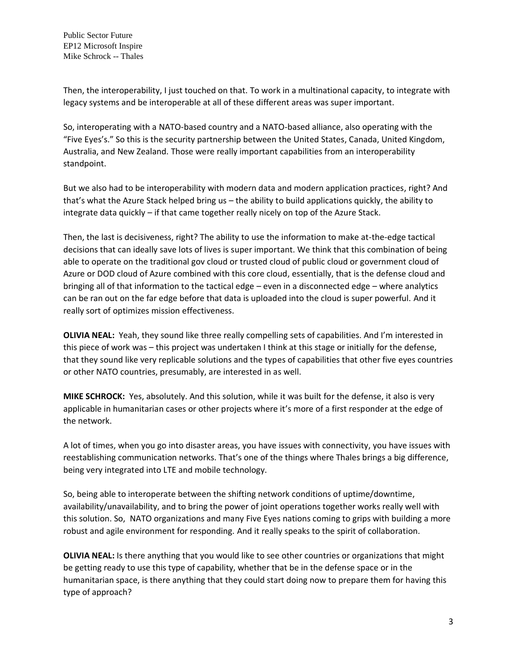Then, the interoperability, I just touched on that. To work in a multinational capacity, to integrate with legacy systems and be interoperable at all of these different areas was super important.

So, interoperating with a NATO-based country and a NATO-based alliance, also operating with the "Five Eyes's." So this is the security partnership between the United States, Canada, United Kingdom, Australia, and New Zealand. Those were really important capabilities from an interoperability standpoint.

But we also had to be interoperability with modern data and modern application practices, right? And that's what the Azure Stack helped bring us – the ability to build applications quickly, the ability to integrate data quickly – if that came together really nicely on top of the Azure Stack.

Then, the last is decisiveness, right? The ability to use the information to make at-the-edge tactical decisions that can ideally save lots of lives is super important. We think that this combination of being able to operate on the traditional gov cloud or trusted cloud of public cloud or government cloud of Azure or DOD cloud of Azure combined with this core cloud, essentially, that is the defense cloud and bringing all of that information to the tactical edge – even in a disconnected edge – where analytics can be ran out on the far edge before that data is uploaded into the cloud is super powerful. And it really sort of optimizes mission effectiveness.

**OLIVIA NEAL:** Yeah, they sound like three really compelling sets of capabilities. And I'm interested in this piece of work was – this project was undertaken I think at this stage or initially for the defense, that they sound like very replicable solutions and the types of capabilities that other five eyes countries or other NATO countries, presumably, are interested in as well.

**MIKE SCHROCK:** Yes, absolutely. And this solution, while it was built for the defense, it also is very applicable in humanitarian cases or other projects where it's more of a first responder at the edge of the network.

A lot of times, when you go into disaster areas, you have issues with connectivity, you have issues with reestablishing communication networks. That's one of the things where Thales brings a big difference, being very integrated into LTE and mobile technology.

So, being able to interoperate between the shifting network conditions of uptime/downtime, availability/unavailability, and to bring the power of joint operations together works really well with this solution. So, NATO organizations and many Five Eyes nations coming to grips with building a more robust and agile environment for responding. And it really speaks to the spirit of collaboration.

**OLIVIA NEAL:** Is there anything that you would like to see other countries or organizations that might be getting ready to use this type of capability, whether that be in the defense space or in the humanitarian space, is there anything that they could start doing now to prepare them for having this type of approach?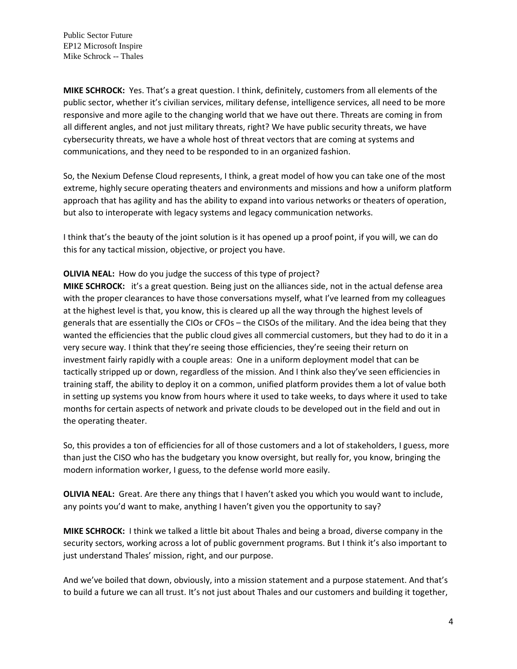Public Sector Future EP12 Microsoft Inspire Mike Schrock -- Thales

**MIKE SCHROCK:** Yes. That's a great question. I think, definitely, customers from all elements of the public sector, whether it's civilian services, military defense, intelligence services, all need to be more responsive and more agile to the changing world that we have out there. Threats are coming in from all different angles, and not just military threats, right? We have public security threats, we have cybersecurity threats, we have a whole host of threat vectors that are coming at systems and communications, and they need to be responded to in an organized fashion.

So, the Nexium Defense Cloud represents, I think, a great model of how you can take one of the most extreme, highly secure operating theaters and environments and missions and how a uniform platform approach that has agility and has the ability to expand into various networks or theaters of operation, but also to interoperate with legacy systems and legacy communication networks.

I think that's the beauty of the joint solution is it has opened up a proof point, if you will, we can do this for any tactical mission, objective, or project you have.

## **OLIVIA NEAL:** How do you judge the success of this type of project?

**MIKE SCHROCK:** it's a great question. Being just on the alliances side, not in the actual defense area with the proper clearances to have those conversations myself, what I've learned from my colleagues at the highest level is that, you know, this is cleared up all the way through the highest levels of generals that are essentially the CIOs or CFOs – the CISOs of the military. And the idea being that they wanted the efficiencies that the public cloud gives all commercial customers, but they had to do it in a very secure way. I think that they're seeing those efficiencies, they're seeing their return on investment fairly rapidly with a couple areas: One in a uniform deployment model that can be tactically stripped up or down, regardless of the mission. And I think also they've seen efficiencies in training staff, the ability to deploy it on a common, unified platform provides them a lot of value both in setting up systems you know from hours where it used to take weeks, to days where it used to take months for certain aspects of network and private clouds to be developed out in the field and out in the operating theater.

So, this provides a ton of efficiencies for all of those customers and a lot of stakeholders, I guess, more than just the CISO who has the budgetary you know oversight, but really for, you know, bringing the modern information worker, I guess, to the defense world more easily.

**OLIVIA NEAL:** Great. Are there any things that I haven't asked you which you would want to include, any points you'd want to make, anything I haven't given you the opportunity to say?

**MIKE SCHROCK:** I think we talked a little bit about Thales and being a broad, diverse company in the security sectors, working across a lot of public government programs. But I think it's also important to just understand Thales' mission, right, and our purpose.

And we've boiled that down, obviously, into a mission statement and a purpose statement. And that's to build a future we can all trust. It's not just about Thales and our customers and building it together,